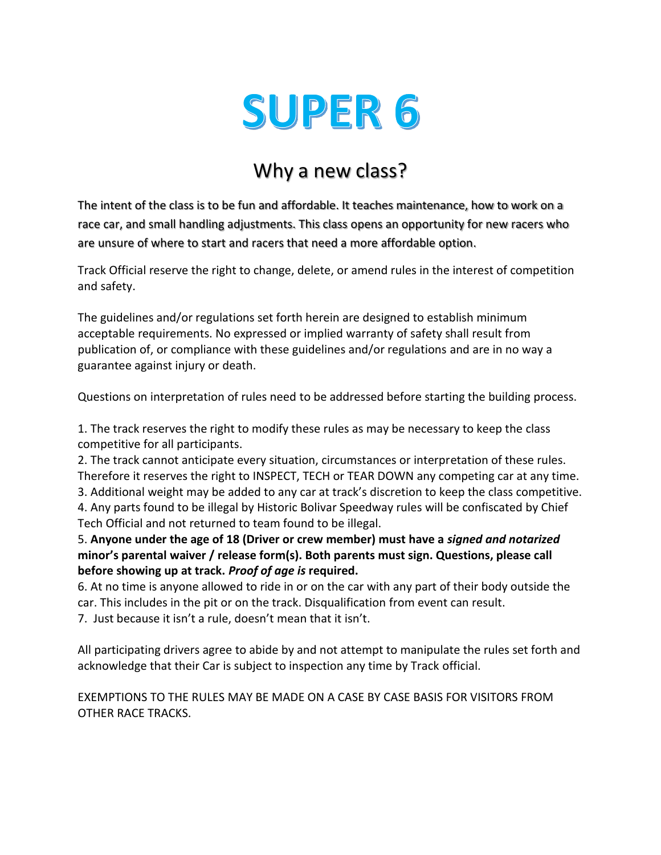# **SUPER 6**

## Why a new class?

The intent of the class is to be fun and affordable. It teaches maintenance, how to work on a race car, and small handling adjustments. This class opens an opportunity for new racers who are unsure of where to start and racers that need a more affordable option.

Track Official reserve the right to change, delete, or amend rules in the interest of competition and safety.

The guidelines and/or regulations set forth herein are designed to establish minimum acceptable requirements. No expressed or implied warranty of safety shall result from publication of, or compliance with these guidelines and/or regulations and are in no way a guarantee against injury or death.

Questions on interpretation of rules need to be addressed before starting the building process.

1. The track reserves the right to modify these rules as may be necessary to keep the class competitive for all participants.

2. The track cannot anticipate every situation, circumstances or interpretation of these rules. Therefore it reserves the right to INSPECT, TECH or TEAR DOWN any competing car at any time. 3. Additional weight may be added to any car at track's discretion to keep the class competitive. 4. Any parts found to be illegal by Historic Bolivar Speedway rules will be confiscated by Chief

Tech Official and not returned to team found to be illegal.

5. **Anyone under the age of 18 (Driver or crew member) must have a** *signed and notarized*  **minor's parental waiver / release form(s). Both parents must sign. Questions, please call before showing up at track.** *Proof of age is* **required.**

6. At no time is anyone allowed to ride in or on the car with any part of their body outside the car. This includes in the pit or on the track. Disqualification from event can result. 7. Just because it isn't a rule, doesn't mean that it isn't.

All participating drivers agree to abide by and not attempt to manipulate the rules set forth and acknowledge that their Car is subject to inspection any time by Track official.

EXEMPTIONS TO THE RULES MAY BE MADE ON A CASE BY CASE BASIS FOR VISITORS FROM OTHER RACE TRACKS.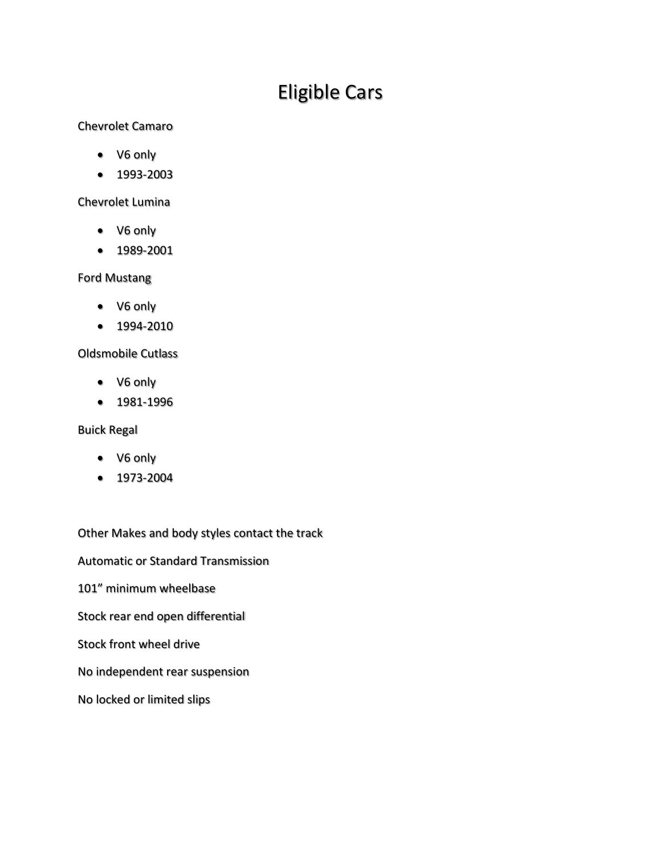# Eligible Cars

#### Chevrolet Camaro

- V6 only
- 1993-2003

#### Chevrolet Lumina

- V6 only
- 1989-2001

#### Ford Mustang

- V6 only
- 1994-2010

#### Oldsmobile Cutlass

- V6 only
- 1981-1996

#### Buick Regal

- V6 only
- 1973-2004

Other Makes and body styles contact the track Automatic or Standard Transmission 101" minimum wheelbase Stock rear end open differential Stock front wheel drive No independent rear suspension No locked or limited slips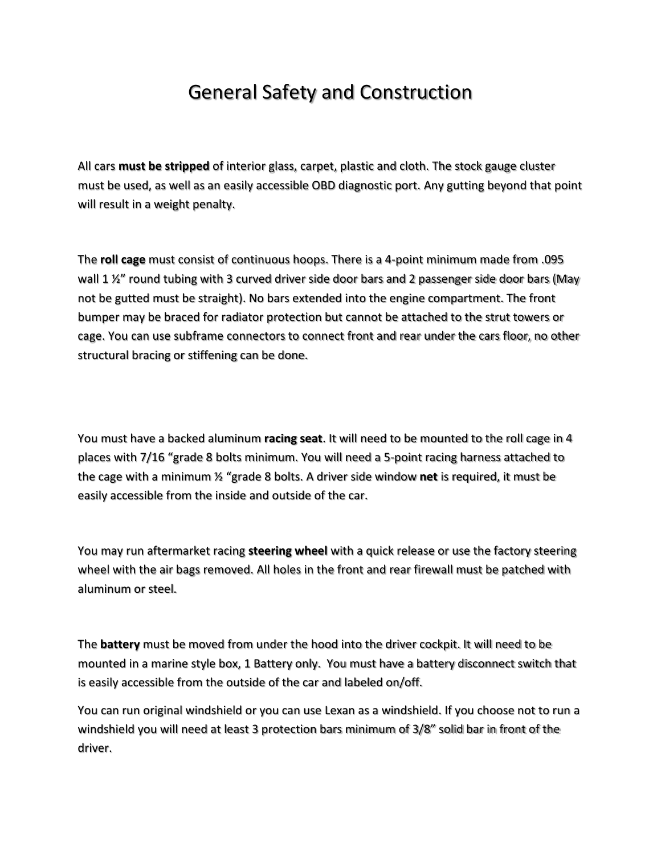## General Safety and Construction

All cars **must be stripped** of interior glass, carpet, plastic and cloth. The stock gauge cluster must be used, as well as an easily accessible OBD diagnostic port. Any gutting beyond that point will result in a weight penalty.

The **roll cage** must consist of continuous hoops. There is a 4-point minimum made from .095 wall 1 %" round tubing with 3 curved driver side door bars and 2 passenger side door bars (May not be gutted must be straight). No bars extended into the engine compartment. The front bumper may be braced for radiator protection but cannot be attached to the strut towers or cage. You can use subframe connectors to connect front and rear under the cars floor, no other structural bracing or stiffening can be done.

You must have a backed aluminum **racing seat**. It will need to be mounted to the roll cage in 4 places with 7/16 "grade 8 bolts minimum. You will need a 5-point racing harness attached to the cage with a minimum ½ "grade 8 bolts. A driver side window **net** is required, it must be easily accessible from the inside and outside of the car.

You may run aftermarket racing **steering wheel** with a quick release or use the factory steering wheel with the air bags removed. All holes in the front and rear firewall must be patched with aluminum or steel.

The **battery** must be moved from under the hood into the driver cockpit. It will need to be mounted in a marine style box, 1 Battery only. You must have a battery disconnect switch that is easily accessible from the outside of the car and labeled on/off.

You can run original windshield or you can use Lexan as a windshield. If you choose not to run a windshield you will need at least 3 protection bars minimum of 3/8" solid bar in front of the driver.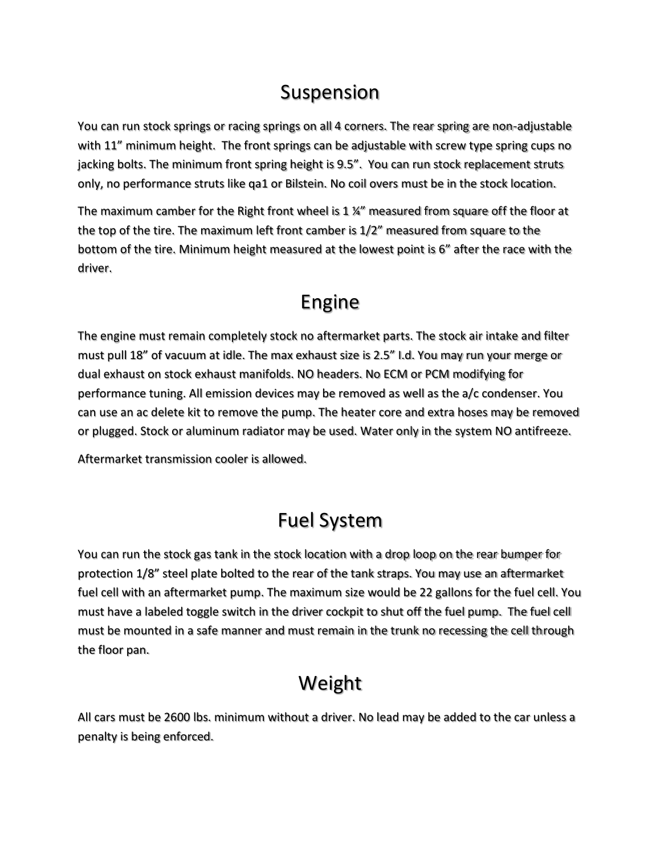## Suspension

You can run stock springs or racing springs on all 4 corners. The rear spring are non-adjustable with 11" minimum height. The front springs can be adjustable with screw type spring cups no jacking bolts. The minimum front spring height is 9.5". You can run stock replacement struts only, no performance struts like qa1 or Bilstein. No coil overs must be in the stock location.

The maximum camber for the Right front wheel is 1  $\frac{1}{4}$  measured from square off the floor at the top of the tire. The maximum left front camber is 1/2" measured from square to the bottom of the tire. Minimum height measured at the lowest point is 6" after the race with the driver.

#### Engine

The engine must remain completely stock no aftermarket parts. The stock air intake and filter must pull 18" of vacuum at idle. The max exhaust size is 2.5" I.d. You may run your merge or dual exhaust on stock exhaust manifolds. NO headers. No ECM or PCM modifying for performance tuning. All emission devices may be removed as well as the a/c condenser. You can use an ac delete kit to remove the pump. The heater core and extra hoses may be removed or plugged. Stock or aluminum radiator may be used. Water only in the system NO antifreeze.

Aftermarket transmission cooler is allowed.

## Fuel System

You can run the stock gas tank in the stock location with a drop loop on the rear bumper for protection 1/8" steel plate bolted to the rear of the tank straps. You may use an aftermarket fuel cell with an aftermarket pump. The maximum size would be 22 gallons for the fuel cell. You must have a labeled toggle switch in the driver cockpit to shut off the fuel pump. The fuel cell must be mounted in a safe manner and must remain in the trunk no recessing the cell through the floor pan.

# Weight

All cars must be 2600 lbs. minimum without a driver. No lead may be added to the car unless a penalty is being enforced.